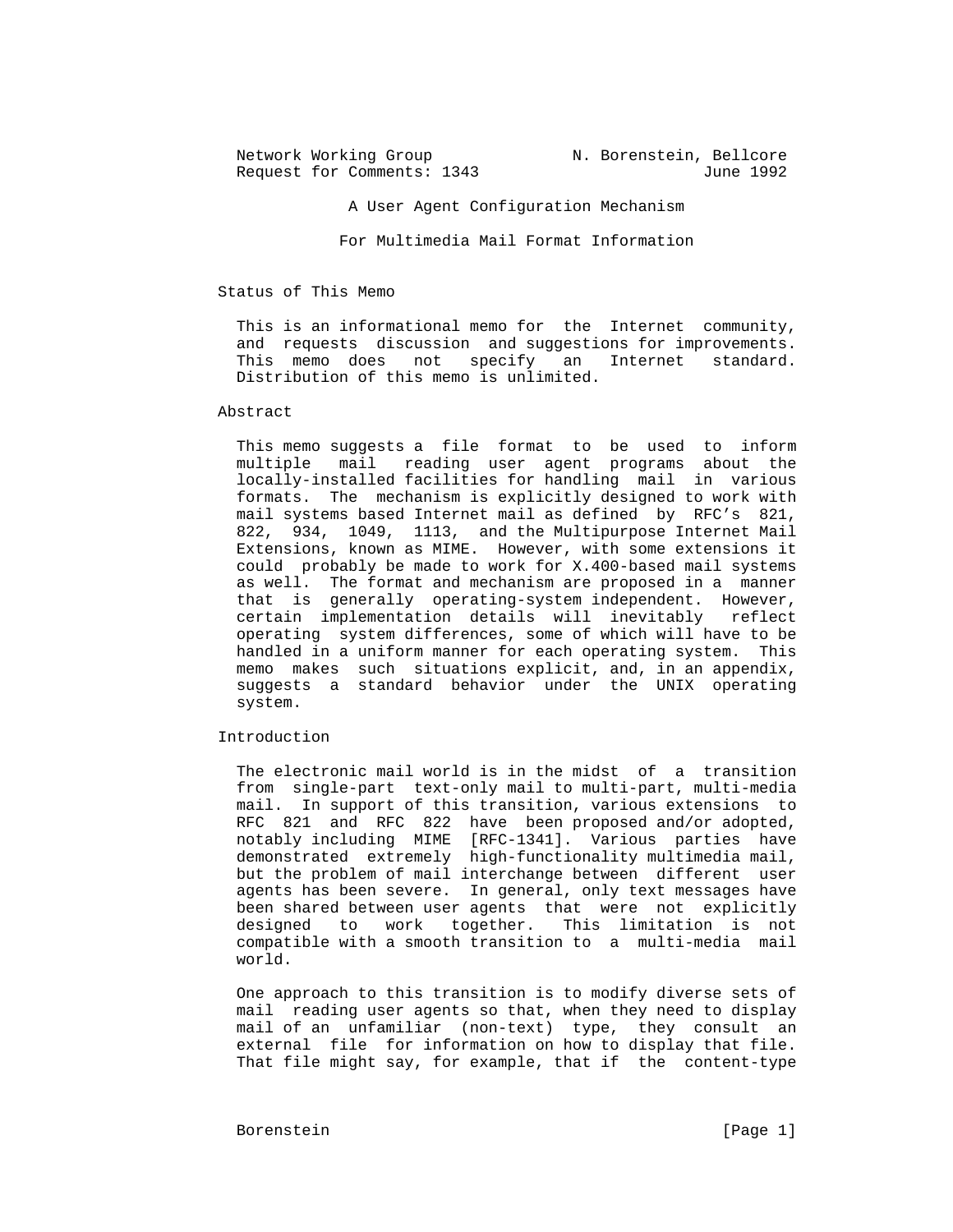Network Working Group N. Borenstein, Bellcore Request for Comments: 1343 June 1992 A User Agent Configuration Mechanism

For Multimedia Mail Format Information

Status of This Memo

 This is an informational memo for the Internet community, and requests discussion and suggestions for improvements. This memo does not specify an Internet standard. Distribution of this memo is unlimited.

## Abstract

 This memo suggests a file format to be used to inform multiple mail reading user agent programs about the locally-installed facilities for handling mail in various formats. The mechanism is explicitly designed to work with mail systems based Internet mail as defined by RFC's 821, 822, 934, 1049, 1113, and the Multipurpose Internet Mail Extensions, known as MIME. However, with some extensions it could probably be made to work for X.400-based mail systems as well. The format and mechanism are proposed in a manner that is generally operating-system independent. However, certain implementation details will inevitably reflect operating system differences, some of which will have to be handled in a uniform manner for each operating system. This memo makes such situations explicit, and, in an appendix, suggests a standard behavior under the UNIX operating system.

Introduction

 The electronic mail world is in the midst of a transition from single-part text-only mail to multi-part, multi-media mail. In support of this transition, various extensions to RFC 821 and RFC 822 have been proposed and/or adopted, notably including MIME [RFC-1341]. Various parties have demonstrated extremely high-functionality multimedia mail, but the problem of mail interchange between different user agents has been severe. In general, only text messages have been shared between user agents that were not explicitly designed to work together. This limitation is not compatible with a smooth transition to a multi-media mail world.

 One approach to this transition is to modify diverse sets of mail reading user agents so that, when they need to display mail of an unfamiliar (non-text) type, they consult an external file for information on how to display that file. That file might say, for example, that if the content-type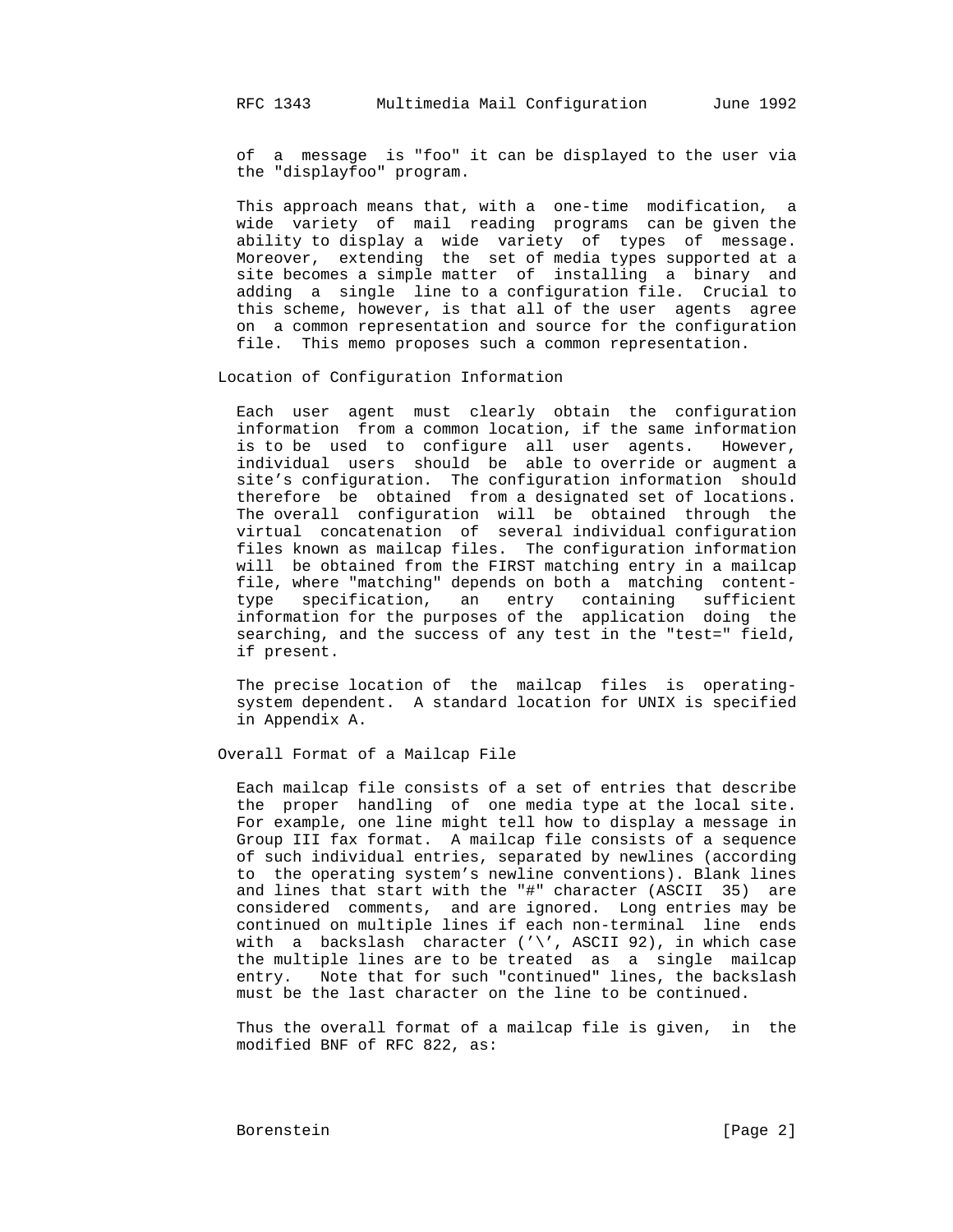of a message is "foo" it can be displayed to the user via the "displayfoo" program.

 This approach means that, with a one-time modification, a wide variety of mail reading programs can be given the ability to display a wide variety of types of message. Moreover, extending the set of media types supported at a site becomes a simple matter of installing a binary and adding a single line to a configuration file. Crucial to this scheme, however, is that all of the user agents agree on a common representation and source for the configuration file. This memo proposes such a common representation.

Location of Configuration Information

 Each user agent must clearly obtain the configuration information from a common location, if the same information is to be used to configure all user agents. However, individual users should be able to override or augment a site's configuration. The configuration information should therefore be obtained from a designated set of locations. The overall configuration will be obtained through the virtual concatenation of several individual configuration files known as mailcap files. The configuration information will be obtained from the FIRST matching entry in a mailcap file, where "matching" depends on both a matching content type specification, an entry containing sufficient information for the purposes of the application doing the searching, and the success of any test in the "test=" field, if present.

> The precise location of the mailcap files is operating system dependent. A standard location for UNIX is specified in Appendix A.

Overall Format of a Mailcap File

 Each mailcap file consists of a set of entries that describe the proper handling of one media type at the local site. For example, one line might tell how to display a message in Group III fax format. A mailcap file consists of a sequence of such individual entries, separated by newlines (according to the operating system's newline conventions). Blank lines and lines that start with the "#" character (ASCII 35) are considered comments, and are ignored. Long entries may be continued on multiple lines if each non-terminal line ends with a backslash character ( $'\$ , ASCII 92), in which case the multiple lines are to be treated as a single mailcap entry. Note that for such "continued" lines, the backslash must be the last character on the line to be continued.

 Thus the overall format of a mailcap file is given, in the modified BNF of RFC 822, as: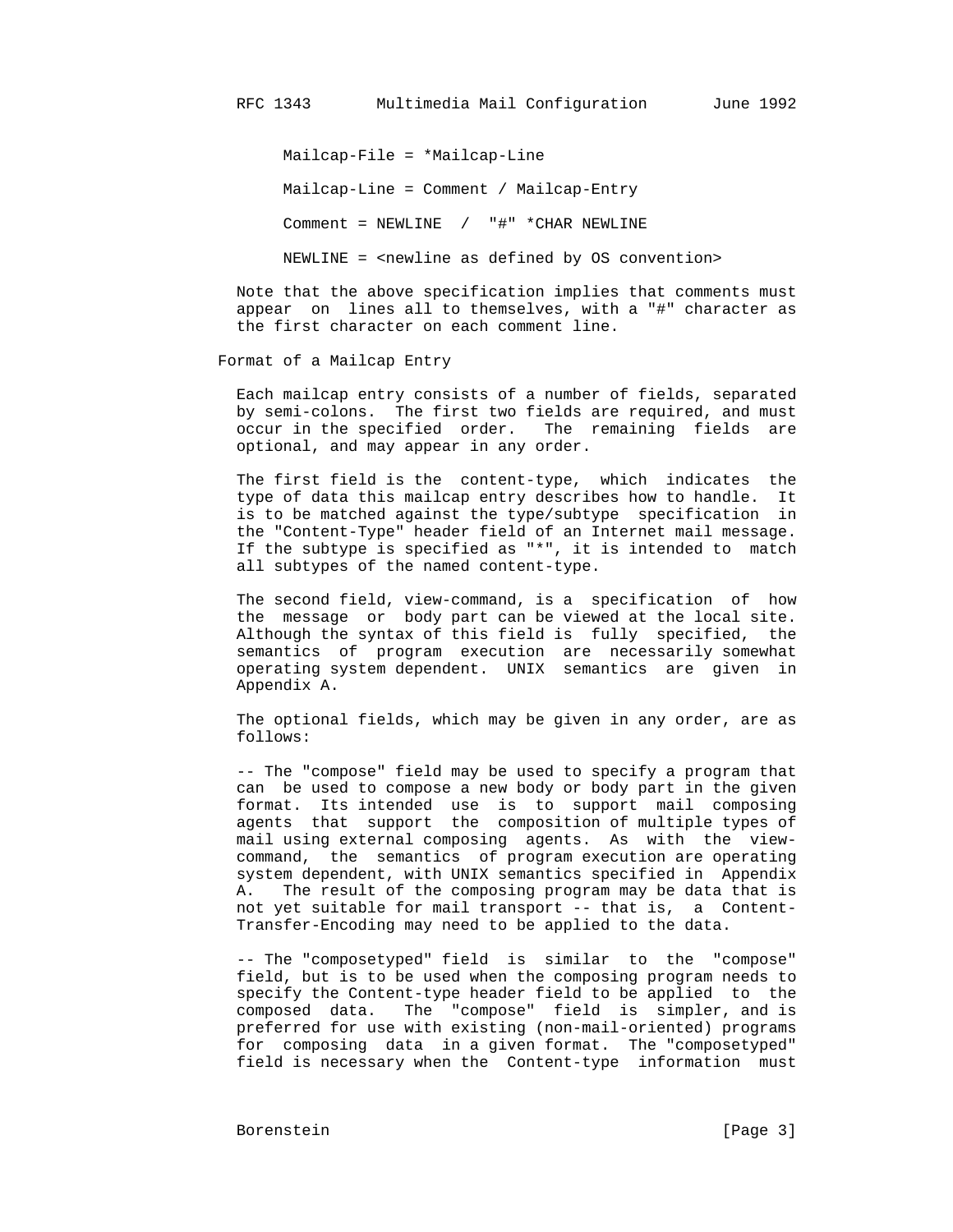Mailcap-File = \*Mailcap-Line

Mailcap-Line = Comment / Mailcap-Entry

Comment = NEWLINE / "#" \*CHAR NEWLINE

NEWLINE = <newline as defined by OS convention>

 Note that the above specification implies that comments must appear on lines all to themselves, with a "#" character as the first character on each comment line.

Format of a Mailcap Entry

 Each mailcap entry consists of a number of fields, separated by semi-colons. The first two fields are required, and must occur in the specified order. The remaining fields are optional, and may appear in any order.

 The first field is the content-type, which indicates the type of data this mailcap entry describes how to handle. It is to be matched against the type/subtype specification in the "Content-Type" header field of an Internet mail message. If the subtype is specified as "\*", it is intended to match all subtypes of the named content-type.

 The second field, view-command, is a specification of how the message or body part can be viewed at the local site. Although the syntax of this field is fully specified, the semantics of program execution are necessarily somewhat operating system dependent. UNIX semantics are given in Appendix A.

 The optional fields, which may be given in any order, are as follows:

 -- The "compose" field may be used to specify a program that can be used to compose a new body or body part in the given format. Its intended use is to support mail composing agents that support the composition of multiple types of mail using external composing agents. As with the view command, the semantics of program execution are operating system dependent, with UNIX semantics specified in Appendix A. The result of the composing program may be data that is not yet suitable for mail transport -- that is, a Content- Transfer-Encoding may need to be applied to the data.

 -- The "composetyped" field is similar to the "compose" field, but is to be used when the composing program needs to specify the Content-type header field to be applied to the composed data. The "compose" field is simpler, and is preferred for use with existing (non-mail-oriented) programs for composing data in a given format. The "composetyped" field is necessary when the Content-type information must

Borenstein [Page 3]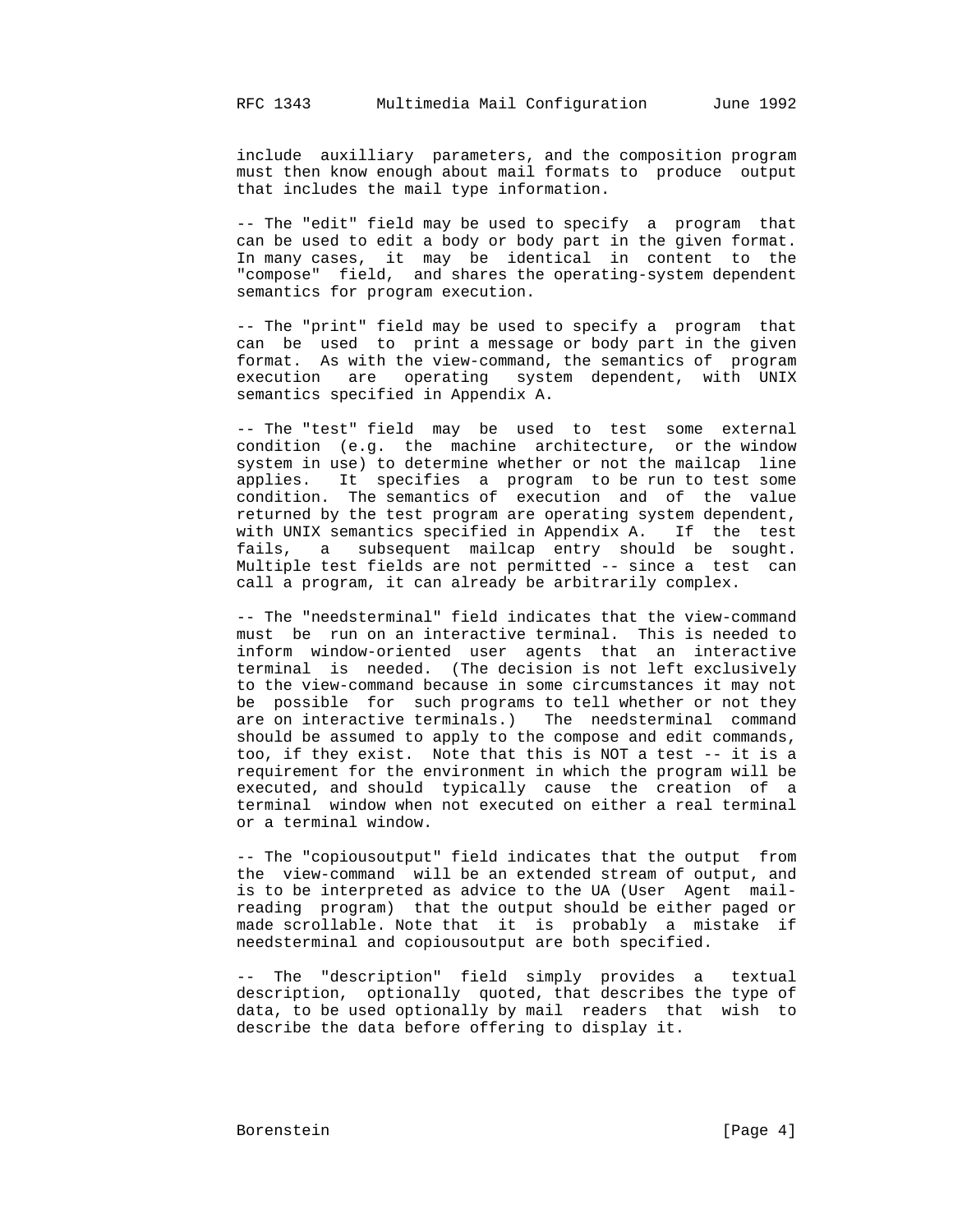include auxilliary parameters, and the composition program must then know enough about mail formats to produce output that includes the mail type information.

 -- The "edit" field may be used to specify a program that can be used to edit a body or body part in the given format. In many cases, it may be identical in content to the "compose" field, and shares the operating-system dependent semantics for program execution.

 -- The "print" field may be used to specify a program that can be used to print a message or body part in the given format. As with the view-command, the semantics of program execution are operating system dependent, with UNIX semantics specified in Appendix A.

 -- The "test" field may be used to test some external condition (e.g. the machine architecture, or the window system in use) to determine whether or not the mailcap line applies. It specifies a program to be run to test some condition. The semantics of execution and of the value returned by the test program are operating system dependent, with UNIX semantics specified in Appendix A. If the test fails, a subsequent mailcap entry should be sought. Multiple test fields are not permitted -- since a test can call a program, it can already be arbitrarily complex.

 -- The "needsterminal" field indicates that the view-command must be run on an interactive terminal. This is needed to inform window-oriented user agents that an interactive terminal is needed. (The decision is not left exclusively to the view-command because in some circumstances it may not be possible for such programs to tell whether or not they are on interactive terminals.) The needsterminal command should be assumed to apply to the compose and edit commands, too, if they exist. Note that this is NOT a test -- it is a requirement for the environment in which the program will be executed, and should typically cause the creation of a terminal window when not executed on either a real terminal or a terminal window.

 -- The "copiousoutput" field indicates that the output from the view-command will be an extended stream of output, and is to be interpreted as advice to the UA (User Agent mail reading program) that the output should be either paged or made scrollable. Note that it is probably a mistake if needsterminal and copiousoutput are both specified.

 -- The "description" field simply provides a textual description, optionally quoted, that describes the type of data, to be used optionally by mail readers that wish to describe the data before offering to display it.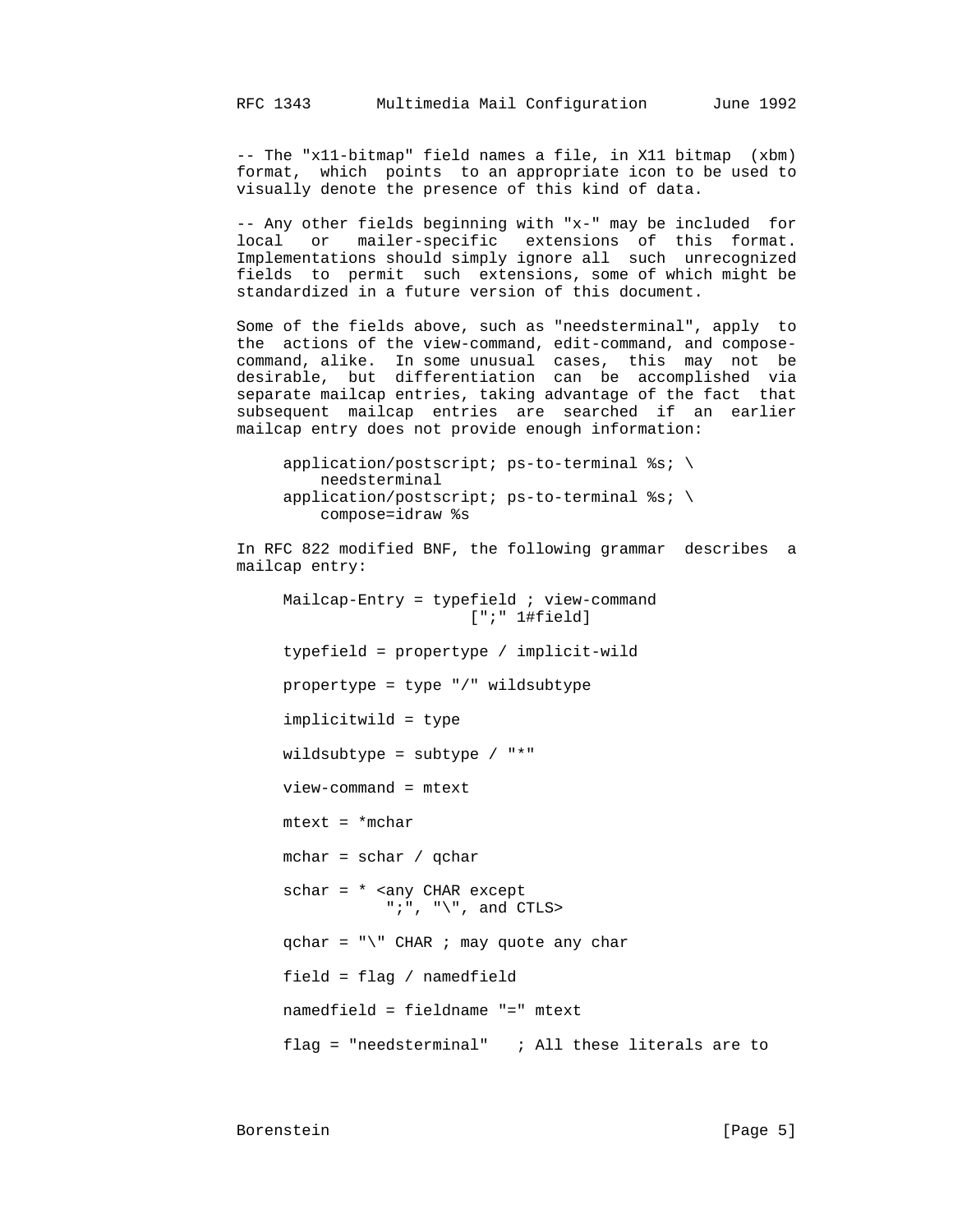-- The "x11-bitmap" field names a file, in X11 bitmap (xbm) format, which points to an appropriate icon to be used to visually denote the presence of this kind of data.

 -- Any other fields beginning with "x-" may be included for local or mailer-specific extensions of this format. Implementations should simply ignore all such unrecognized fields to permit such extensions, some of which might be standardized in a future version of this document.

 Some of the fields above, such as "needsterminal", apply to the actions of the view-command, edit-command, and compose command, alike. In some unusual cases, this may not be desirable, but differentiation can be accomplished via separate mailcap entries, taking advantage of the fact that subsequent mailcap entries are searched if an earlier mailcap entry does not provide enough information:

> application/postscript; ps-to-terminal %s; \ needsterminal application/postscript; ps-to-terminal %s; \ compose=idraw %s

 In RFC 822 modified BNF, the following grammar describes a mailcap entry:  $Mailcap-Entry = typefield$ ; view-command [";" 1#field] typefield = propertype / implicit-wild propertype = type "/" wildsubtype implicitwild = type wildsubtype = subtype / "\*" view-command = mtext  $mtext = *mchar$ mchar =  $schar / qchar$  schar = \* <any CHAR except ";", " $\langle$ ", and CTLS>  $qchar = "\Psi"$  CHAR ; may quote any char field = flag / namedfield namedfield = fieldname "=" mtext flag = "needsterminal"  $\qquad$ ; All these literals are to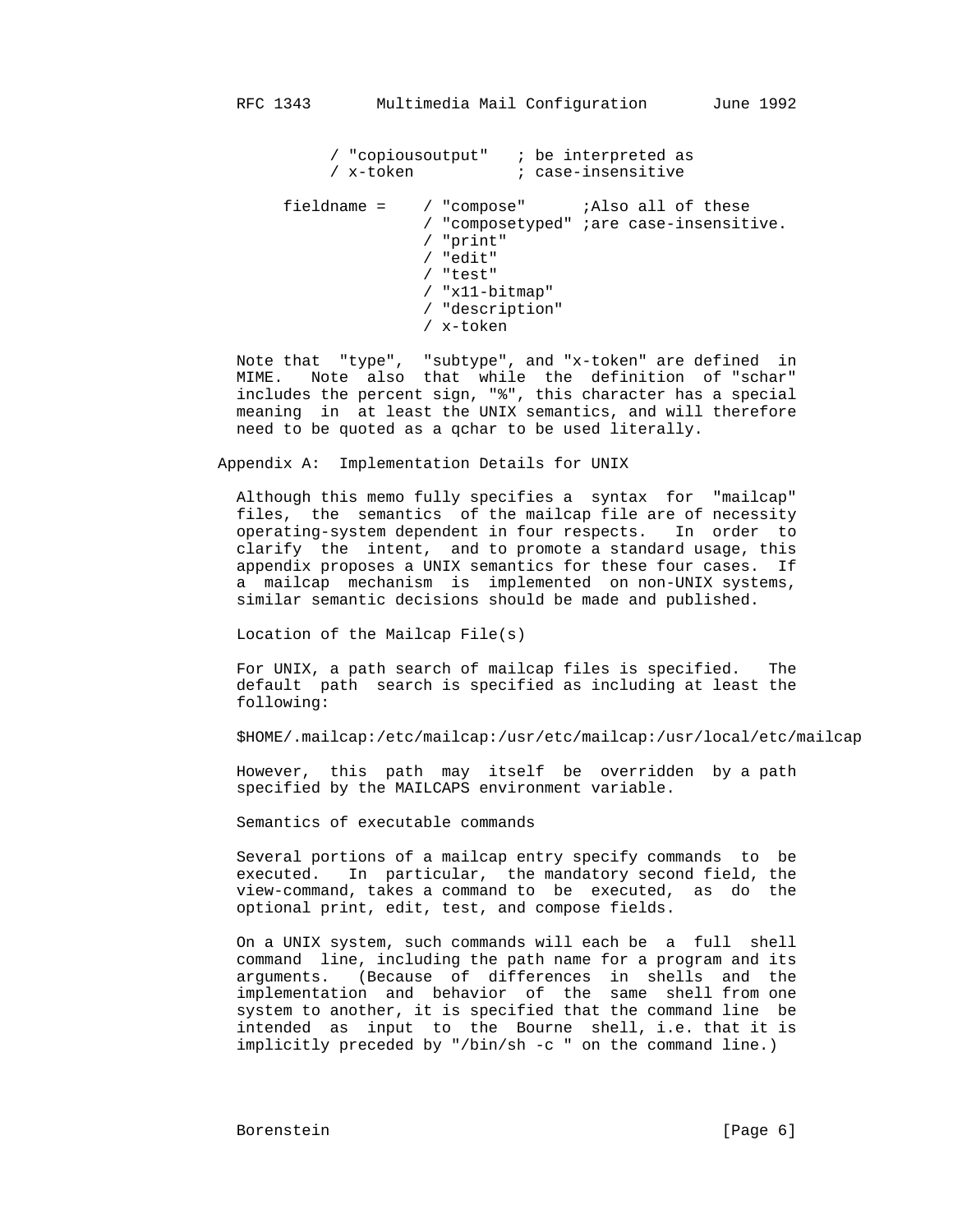/ "copiousoutput" ; be interpreted as / x-token ; case-insensitive fieldname = / "compose" ;Also all of these / "composetyped" ;are case-insensitive. / "print" / "edit" / "test" / "x11-bitmap" / "description" / x-token

 Note that "type", "subtype", and "x-token" are defined in MIME. Note also that while the definition of "schar" includes the percent sign, "%", this character has a special meaning in at least the UNIX semantics, and will therefore need to be quoted as a qchar to be used literally.

Appendix A: Implementation Details for UNIX

 Although this memo fully specifies a syntax for "mailcap" files, the semantics of the mailcap file are of necessity operating-system dependent in four respects. In order to clarify the intent, and to promote a standard usage, this appendix proposes a UNIX semantics for these four cases. If a mailcap mechanism is implemented on non-UNIX systems, similar semantic decisions should be made and published.

Location of the Mailcap File(s)

 For UNIX, a path search of mailcap files is specified. The default path search is specified as including at least the following:

\$HOME/.mailcap:/etc/mailcap:/usr/etc/mailcap:/usr/local/etc/mailcap

 However, this path may itself be overridden by a path specified by the MAILCAPS environment variable.

Semantics of executable commands

 Several portions of a mailcap entry specify commands to be executed. In particular, the mandatory second field, the view-command, takes a command to be executed, as do the optional print, edit, test, and compose fields.

 On a UNIX system, such commands will each be a full shell command line, including the path name for a program and its arguments. (Because of differences in shells and the implementation and behavior of the same shell from one system to another, it is specified that the command line be intended as input to the Bourne shell, i.e. that it is implicitly preceded by "/bin/sh -c " on the command line.)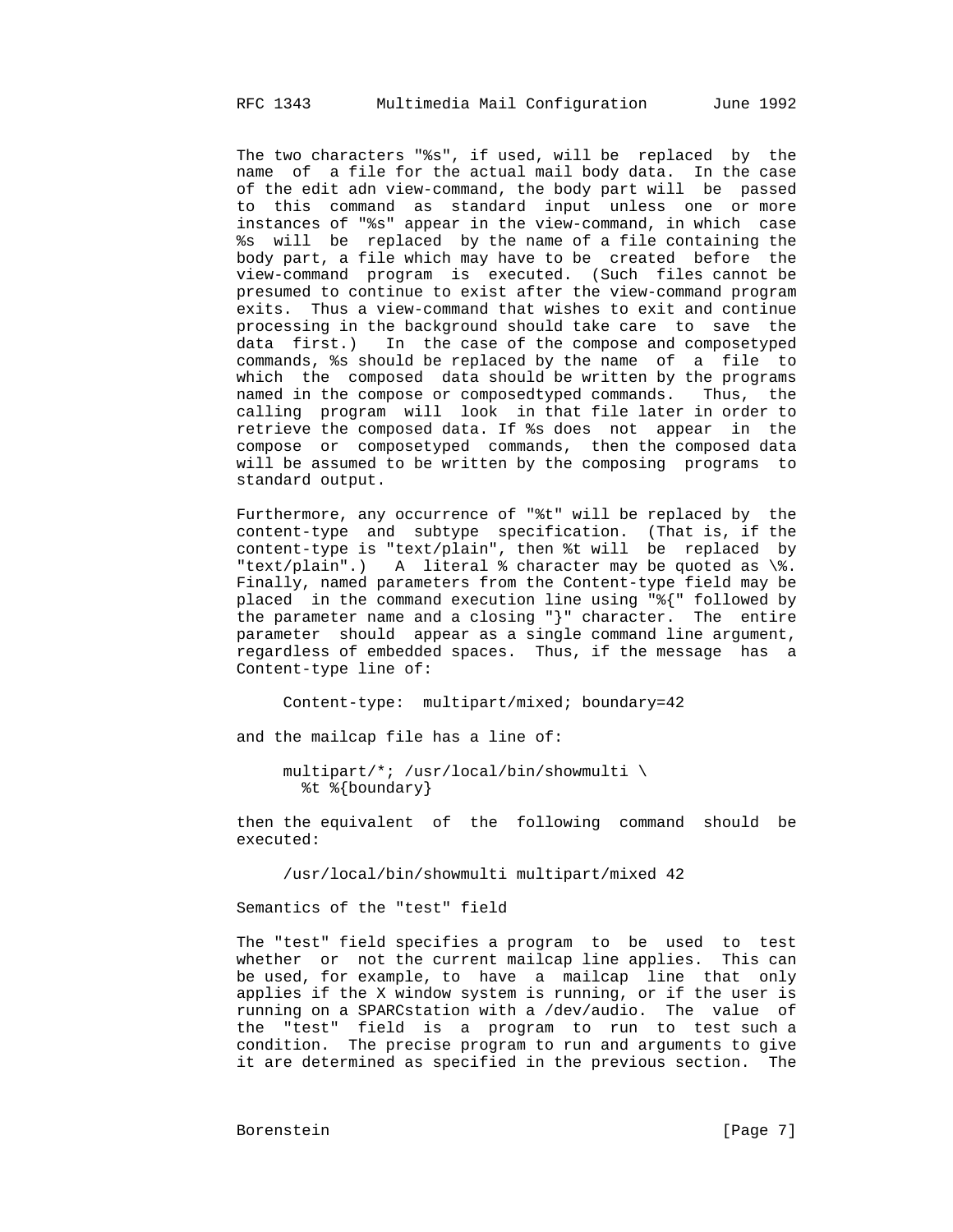The two characters "%s", if used, will be replaced by the name of a file for the actual mail body data. In the case of the edit adn view-command, the body part will be passed to this command as standard input unless one or more instances of "%s" appear in the view-command, in which case %s will be replaced by the name of a file containing the body part, a file which may have to be created before the view-command program is executed. (Such files cannot be presumed to continue to exist after the view-command program exits. Thus a view-command that wishes to exit and continue processing in the background should take care to save the data first.) In the case of the compose and composetyped commands, %s should be replaced by the name of a file to which the composed data should be written by the programs named in the compose or composedtyped commands. Thus, the calling program will look in that file later in order to retrieve the composed data. If %s does not appear in the compose or composetyped commands, then the composed data will be assumed to be written by the composing programs to standard output.

 Furthermore, any occurrence of "%t" will be replaced by the content-type and subtype specification. (That is, if the content-type is "text/plain", then %t will be replaced by "text/plain".) A literal % character may be quoted as \%. Finally, named parameters from the Content-type field may be placed in the command execution line using "%{" followed by the parameter name and a closing "}" character. The entire parameter should appear as a single command line argument, regardless of embedded spaces. Thus, if the message has a Content-type line of:

Content-type: multipart/mixed; boundary=42

and the mailcap file has a line of:

 multipart/\*; /usr/local/bin/showmulti \ %t %{boundary}

 then the equivalent of the following command should be executed:

/usr/local/bin/showmulti multipart/mixed 42

Semantics of the "test" field

 The "test" field specifies a program to be used to test whether or not the current mailcap line applies. This can be used, for example, to have a mailcap line that only applies if the X window system is running, or if the user is running on a SPARCstation with a /dev/audio. The value of the "test" field is a program to run to test such a condition. The precise program to run and arguments to give it are determined as specified in the previous section. The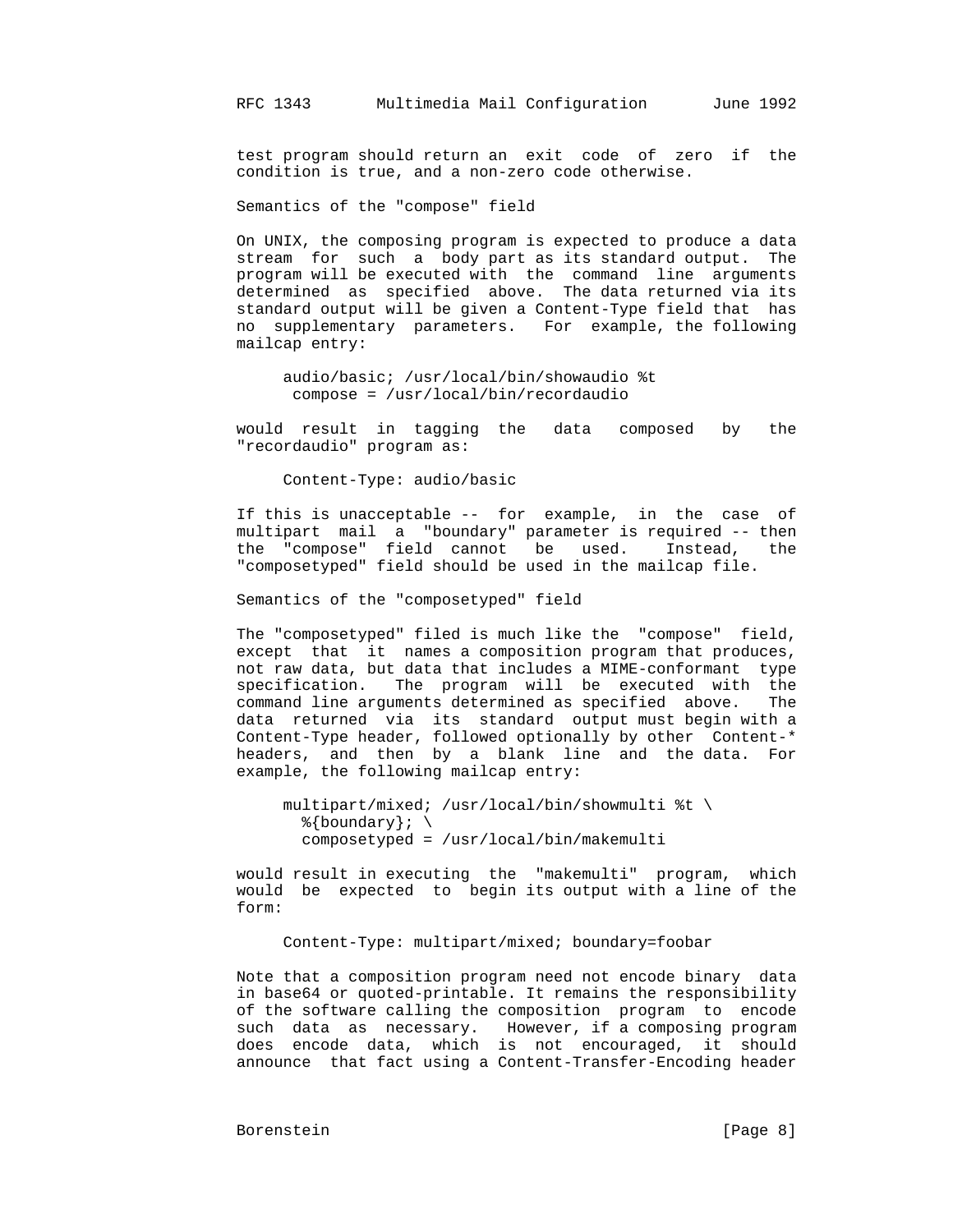test program should return an exit code of zero if the condition is true, and a non-zero code otherwise.

Semantics of the "compose" field

 On UNIX, the composing program is expected to produce a data stream for such a body part as its standard output. The program will be executed with the command line arguments determined as specified above. The data returned via its standard output will be given a Content-Type field that has no supplementary parameters. For example, the following mailcap entry:

 audio/basic; /usr/local/bin/showaudio %t compose = /usr/local/bin/recordaudio

 would result in tagging the data composed by the "recordaudio" program as:

Content-Type: audio/basic

 If this is unacceptable -- for example, in the case of multipart mail a "boundary" parameter is required -- then the "compose" field cannot be used. Instead, the "composetyped" field should be used in the mailcap file.

Semantics of the "composetyped" field

 The "composetyped" filed is much like the "compose" field, except that it names a composition program that produces, not raw data, but data that includes a MIME-conformant type specification. The program will be executed with the command line arguments determined as specified above. The data returned via its standard output must begin with a Content-Type header, followed optionally by other Content-\* headers, and then by a blank line and the data. For example, the following mailcap entry:

```
 multipart/mixed; /usr/local/bin/showmulti %t \
 \{\text{boundary}\};\; composetyped = /usr/local/bin/makemulti
```
 would result in executing the "makemulti" program, which would be expected to begin its output with a line of the form:

Content-Type: multipart/mixed; boundary=foobar

 Note that a composition program need not encode binary data in base64 or quoted-printable. It remains the responsibility of the software calling the composition program to encode such data as necessary. However, if a composing program does encode data, which is not encouraged, it should announce that fact using a Content-Transfer-Encoding header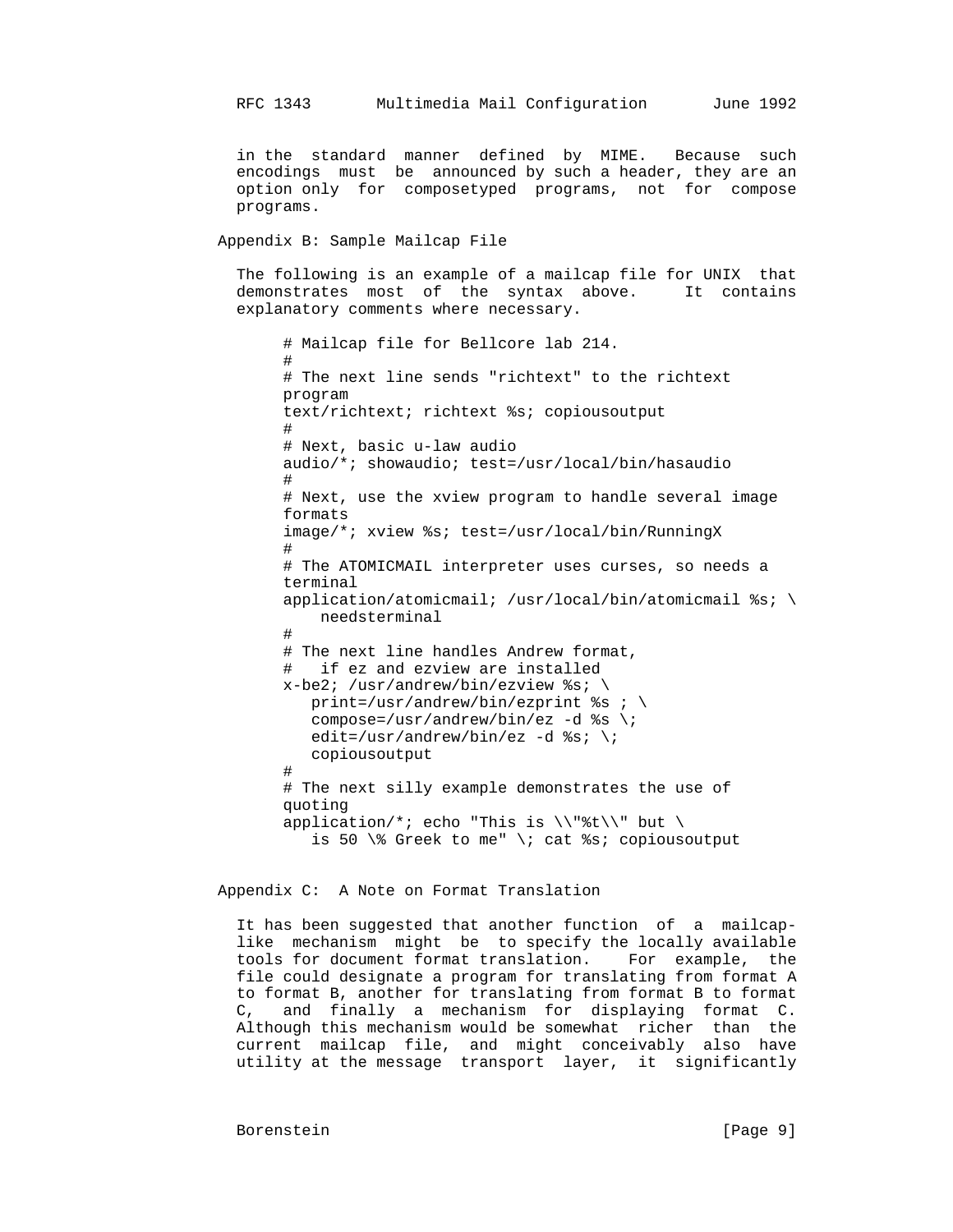in the standard manner defined by MIME. Because such encodings must be announced by such a header, they are an option only for composetyped programs, not for compose programs.

Appendix B: Sample Mailcap File

 The following is an example of a mailcap file for UNIX that demonstrates most of the syntax above. It contains explanatory comments where necessary.

```
 # Mailcap file for Bellcore lab 214.
#
               # The next line sends "richtext" to the richtext
               program
               text/richtext; richtext %s; copiousoutput
#
               # Next, basic u-law audio
               audio/*; showaudio; test=/usr/local/bin/hasaudio
#
               # Next, use the xview program to handle several image
               formats
               image/*; xview %s; test=/usr/local/bin/RunningX
#
               # The ATOMICMAIL interpreter uses curses, so needs a
               terminal
              application/atomicmail; /usr/local/bin/atomicmail %s; \
                   needsterminal
#
               # The next line handles Andrew format,
                 if ez and ezview are installed
              x-be2; /usr/andrew/bin/ezview ss; \
                 print=/usr/andrew/bin/ezprint s = i \ \compose=/usr/andrew/bin/ez -d s \rightarrow iedit=/usr/andrew/bin/ez -d ss; \;
                  copiousoutput
#
               # The next silly example demonstrates the use of
               quoting
              application/*; echo "This is \\"%t\\" but \
                 is 50 \% Greek to me" \; cat %s; copiousoutput
```
Appendix C: A Note on Format Translation

 It has been suggested that another function of a mailcap like mechanism might be to specify the locally available tools for document format translation. For example, the file could designate a program for translating from format A to format B, another for translating from format B to format C, and finally a mechanism for displaying format C. Although this mechanism would be somewhat richer than the current mailcap file, and might conceivably also have utility at the message transport layer, it significantly

Borenstein [Page 9]